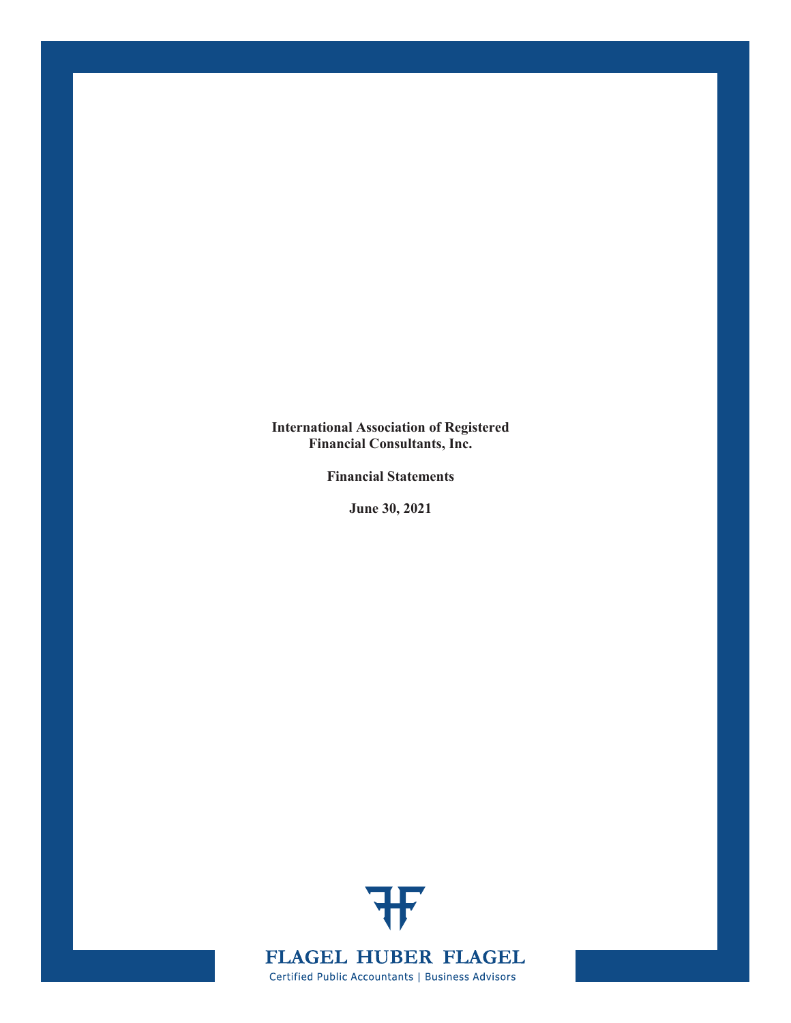**Financial Statements**

**June 30, 2021**

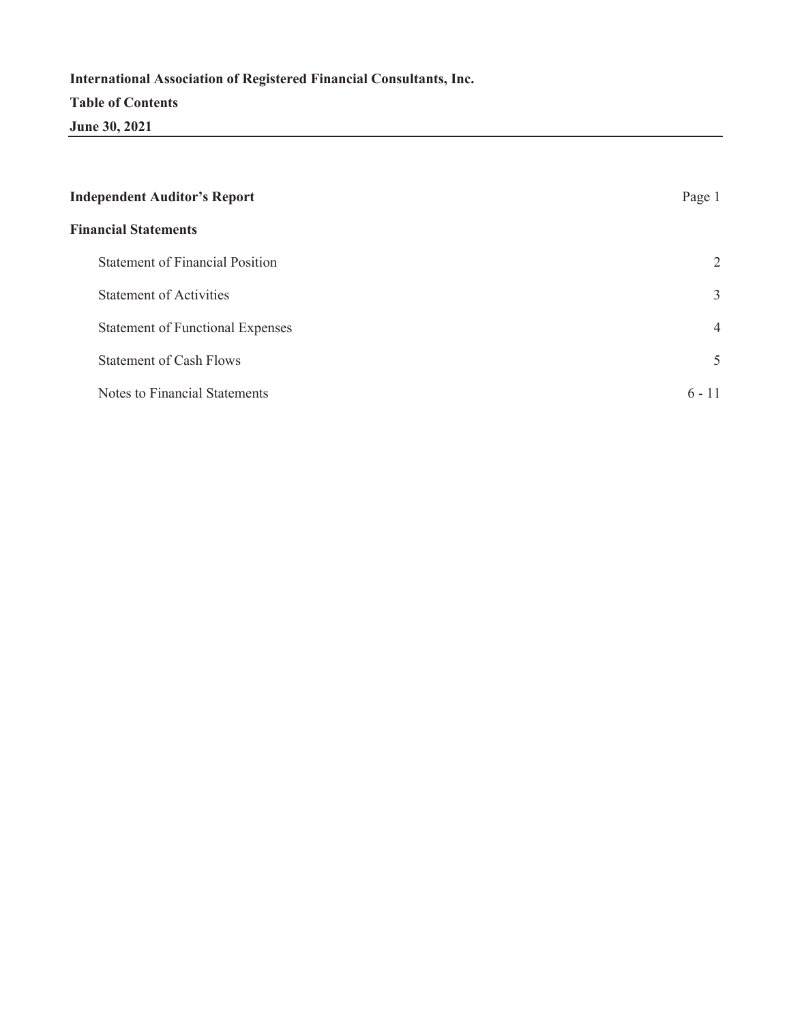| <b>Independent Auditor's Report</b>     | Page 1         |
|-----------------------------------------|----------------|
| <b>Financial Statements</b>             |                |
| <b>Statement of Financial Position</b>  | 2              |
| <b>Statement of Activities</b>          | 3              |
| <b>Statement of Functional Expenses</b> | $\overline{4}$ |
| <b>Statement of Cash Flows</b>          | 5              |
| Notes to Financial Statements           | $6 - 11$       |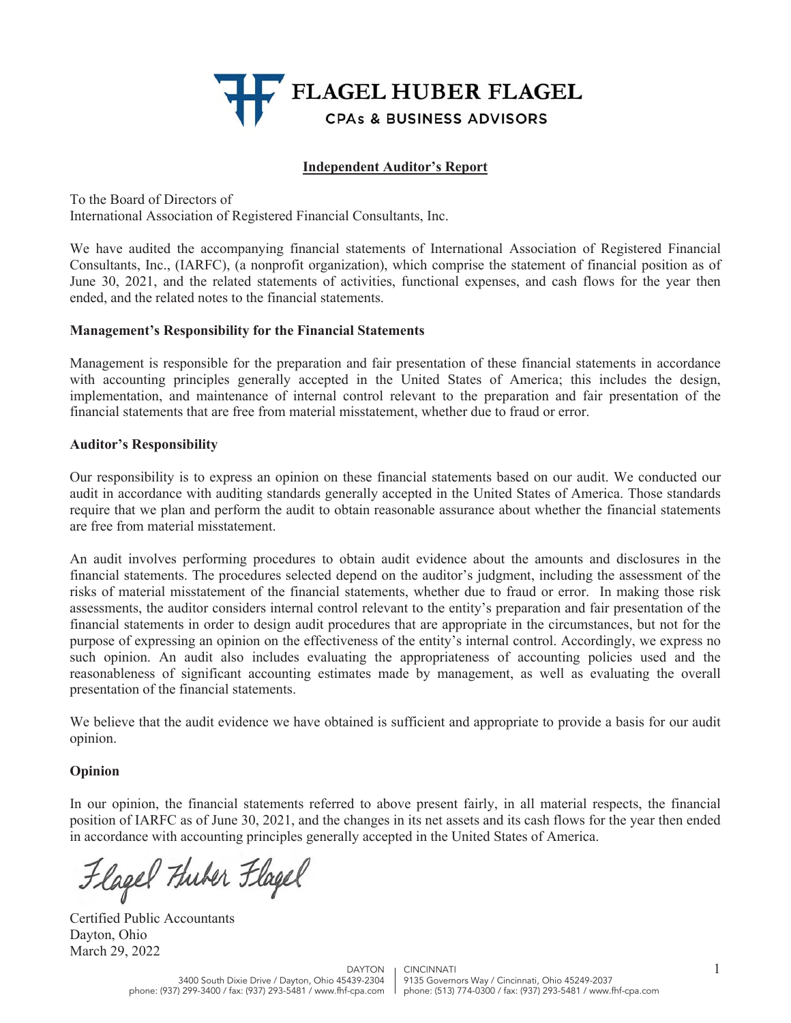# **FLAGEL HUBER FLAGEL CPAs & BUSINESS ADVISORS**

# **Independent Auditor's Report**

To the Board of Directors of International Association of Registered Financial Consultants, Inc.

We have audited the accompanying financial statements of International Association of Registered Financial Consultants, Inc., (IARFC), (a nonprofit organization), which comprise the statement of financial position as of June 30, 2021, and the related statements of activities, functional expenses, and cash flows for the year then ended, and the related notes to the financial statements.

# **Management's Responsibility for the Financial Statements**

Management is responsible for the preparation and fair presentation of these financial statements in accordance with accounting principles generally accepted in the United States of America; this includes the design, implementation, and maintenance of internal control relevant to the preparation and fair presentation of the financial statements that are free from material misstatement, whether due to fraud or error.

# **Auditor's Responsibility**

Our responsibility is to express an opinion on these financial statements based on our audit. We conducted our audit in accordance with auditing standards generally accepted in the United States of America. Those standards require that we plan and perform the audit to obtain reasonable assurance about whether the financial statements are free from material misstatement.

An audit involves performing procedures to obtain audit evidence about the amounts and disclosures in the financial statements. The procedures selected depend on the auditor's judgment, including the assessment of the risks of material misstatement of the financial statements, whether due to fraud or error. In making those risk assessments, the auditor considers internal control relevant to the entity's preparation and fair presentation of the financial statements in order to design audit procedures that are appropriate in the circumstances, but not for the purpose of expressing an opinion on the effectiveness of the entity's internal control. Accordingly, we express no such opinion. An audit also includes evaluating the appropriateness of accounting policies used and the reasonableness of significant accounting estimates made by management, as well as evaluating the overall presentation of the financial statements.

We believe that the audit evidence we have obtained is sufficient and appropriate to provide a basis for our audit opinion.

# **Opinion**

In our opinion, the financial statements referred to above present fairly, in all material respects, the financial position of IARFC as of June 30, 2021, and the changes in its net assets and its cash flows for the year then ended in accordance with accounting principles generally accepted in the United States of America.

Flagel Huber Flagel

Certified Public Accountants Dayton, Ohio March 29, 2022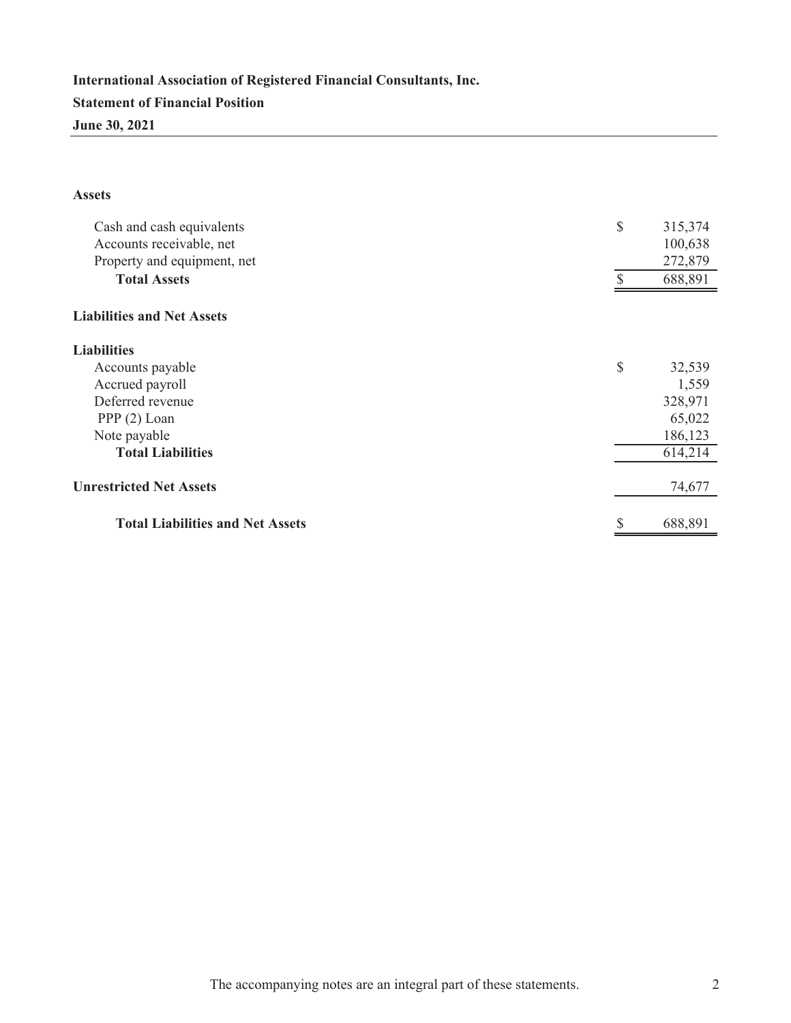# **Assets**

| Cash and cash equivalents<br>Accounts receivable, net | \$ | 315,374<br>100,638 |
|-------------------------------------------------------|----|--------------------|
| Property and equipment, net                           |    | 272,879            |
| <b>Total Assets</b>                                   |    | 688,891            |
| <b>Liabilities and Net Assets</b>                     |    |                    |
| <b>Liabilities</b>                                    |    |                    |
| Accounts payable                                      | \$ | 32,539             |
| Accrued payroll                                       |    | 1,559              |
| Deferred revenue                                      |    | 328,971            |
| PPP (2) Loan                                          |    | 65,022             |
| Note payable                                          |    | 186,123            |
| <b>Total Liabilities</b>                              |    | 614,214            |
| <b>Unrestricted Net Assets</b>                        |    | 74,677             |
| <b>Total Liabilities and Net Assets</b>               | S  | 688,891            |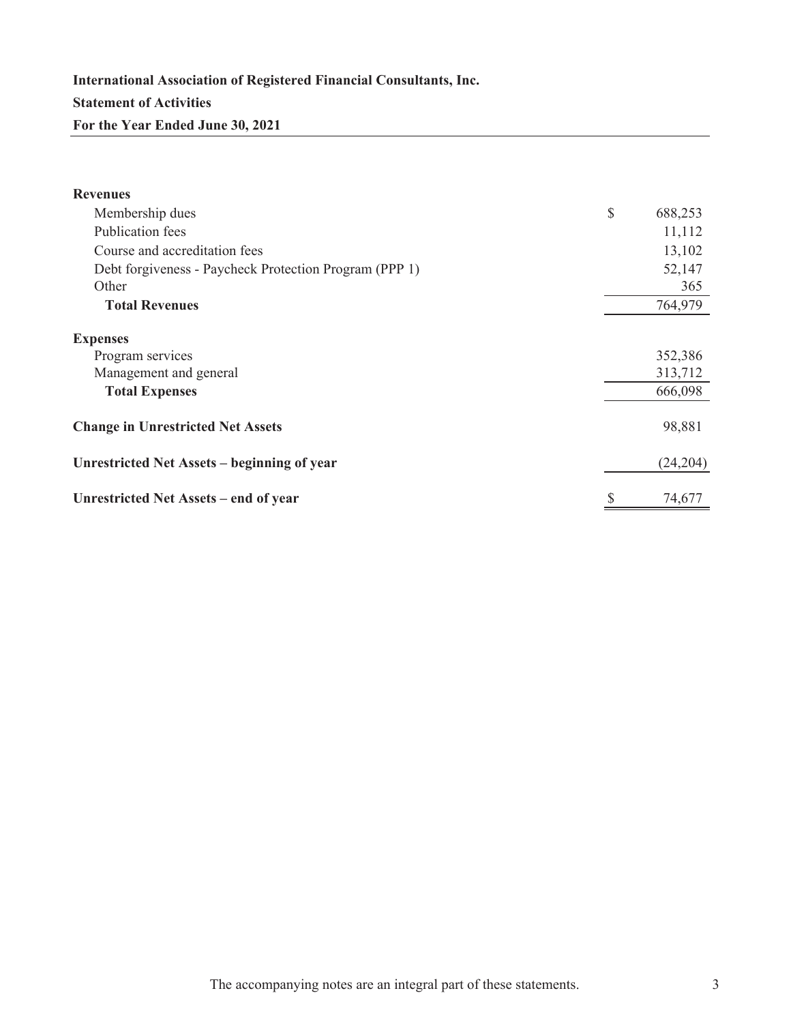| <b>Revenues</b>                                        |               |
|--------------------------------------------------------|---------------|
| Membership dues                                        | \$<br>688,253 |
| Publication fees                                       | 11,112        |
| Course and accreditation fees                          | 13,102        |
| Debt forgiveness - Paycheck Protection Program (PPP 1) | 52,147        |
| Other                                                  | 365           |
| <b>Total Revenues</b>                                  | 764,979       |
| <b>Expenses</b>                                        |               |
| Program services                                       | 352,386       |
| Management and general                                 | 313,712       |
| <b>Total Expenses</b>                                  | 666,098       |
| <b>Change in Unrestricted Net Assets</b>               | 98,881        |
| <b>Unrestricted Net Assets – beginning of year</b>     | (24,204)      |
| Unrestricted Net Assets – end of year                  | \$<br>74,677  |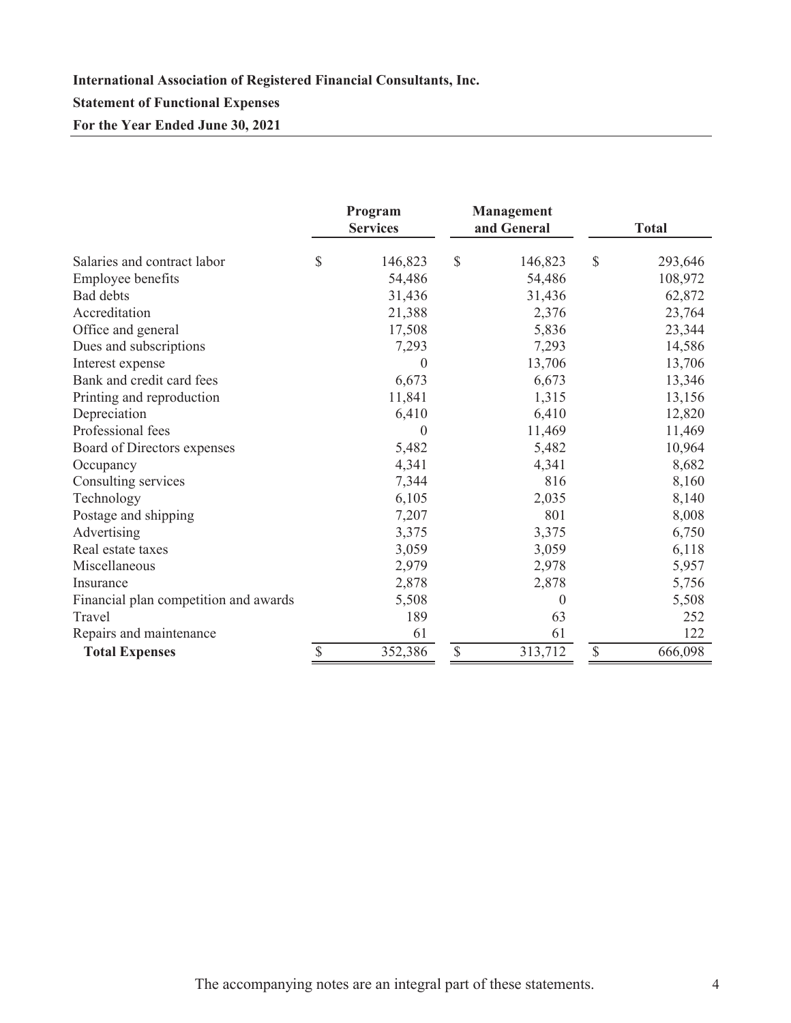# **Statement of Functional Expenses**

# **For the Year Ended June 30, 2021**

|                                       | Program<br><b>Services</b> | <b>Management</b><br>and General |               | <b>Total</b> |
|---------------------------------------|----------------------------|----------------------------------|---------------|--------------|
| Salaries and contract labor           | \$<br>146,823              | \$<br>146,823                    | $\mathcal{S}$ | 293,646      |
| Employee benefits                     | 54,486                     | 54,486                           |               | 108,972      |
| <b>Bad</b> debts                      | 31,436                     | 31,436                           |               | 62,872       |
| Accreditation                         | 21,388                     | 2,376                            |               | 23,764       |
| Office and general                    | 17,508                     | 5,836                            |               | 23,344       |
| Dues and subscriptions                | 7,293                      | 7,293                            |               | 14,586       |
| Interest expense                      | 0                          | 13,706                           |               | 13,706       |
| Bank and credit card fees             | 6,673                      | 6,673                            |               | 13,346       |
| Printing and reproduction             | 11,841                     | 1,315                            |               | 13,156       |
| Depreciation                          | 6,410                      | 6,410                            |               | 12,820       |
| Professional fees                     | 0                          | 11,469                           |               | 11,469       |
| Board of Directors expenses           | 5,482                      | 5,482                            |               | 10,964       |
| Occupancy                             | 4,341                      | 4,341                            |               | 8,682        |
| Consulting services                   | 7,344                      | 816                              |               | 8,160        |
| Technology                            | 6,105                      | 2,035                            |               | 8,140        |
| Postage and shipping                  | 7,207                      | 801                              |               | 8,008        |
| Advertising                           | 3,375                      | 3,375                            |               | 6,750        |
| Real estate taxes                     | 3,059                      | 3,059                            |               | 6,118        |
| Miscellaneous                         | 2,979                      | 2,978                            |               | 5,957        |
| Insurance                             | 2,878                      | 2,878                            |               | 5,756        |
| Financial plan competition and awards | 5,508                      | 0                                |               | 5,508        |
| Travel                                | 189                        | 63                               |               | 252          |
| Repairs and maintenance               | 61                         | 61                               |               | 122          |
| <b>Total Expenses</b>                 | \$<br>352,386              | \$<br>313,712                    | $\mathcal{S}$ | 666,098      |

The accompanying notes are an integral part of these statements. 4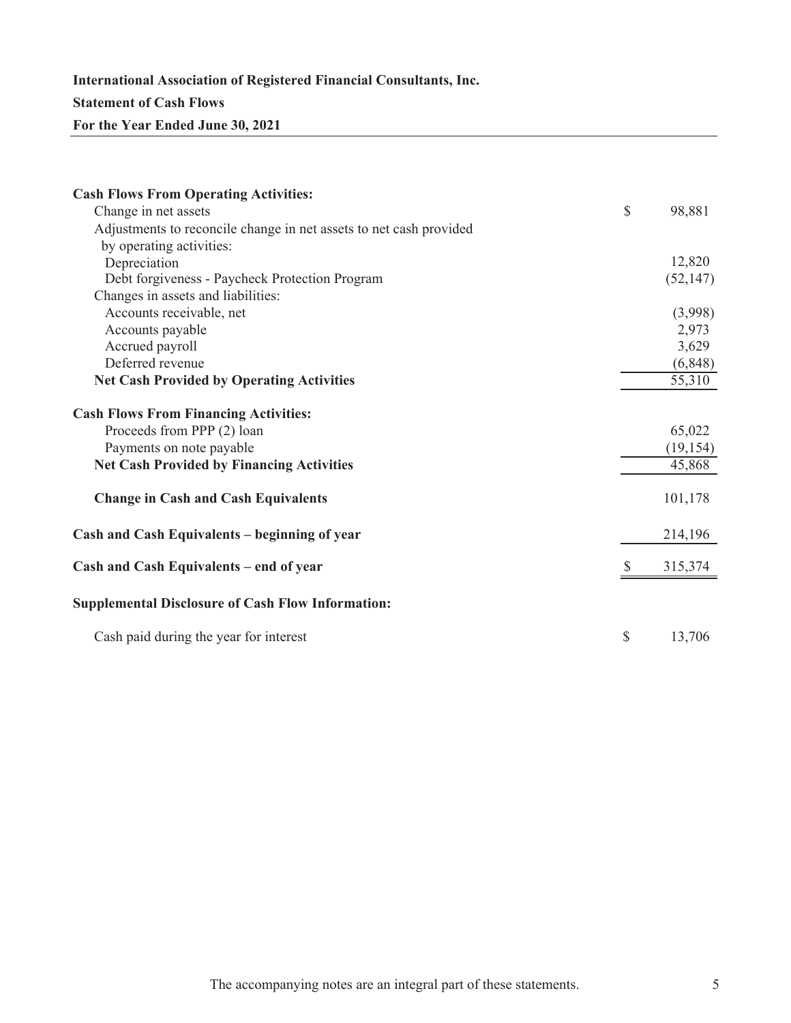| <b>Cash Flows From Operating Activities:</b>                       |              |
|--------------------------------------------------------------------|--------------|
| Change in net assets                                               | \$<br>98,881 |
| Adjustments to reconcile change in net assets to net cash provided |              |
| by operating activities:                                           |              |
| Depreciation                                                       | 12,820       |
| Debt forgiveness - Paycheck Protection Program                     | (52, 147)    |
| Changes in assets and liabilities:                                 |              |
| Accounts receivable, net                                           | (3,998)      |
| Accounts payable                                                   | 2,973        |
| Accrued payroll                                                    | 3,629        |
| Deferred revenue                                                   | (6,848)      |
| <b>Net Cash Provided by Operating Activities</b>                   | 55,310       |
| <b>Cash Flows From Financing Activities:</b>                       |              |
| Proceeds from PPP (2) loan                                         | 65,022       |
| Payments on note payable                                           | (19, 154)    |
| <b>Net Cash Provided by Financing Activities</b>                   | 45,868       |
| <b>Change in Cash and Cash Equivalents</b>                         | 101,178      |
| Cash and Cash Equivalents – beginning of year                      | 214,196      |
| Cash and Cash Equivalents – end of year                            | 315,374      |
| <b>Supplemental Disclosure of Cash Flow Information:</b>           |              |
| Cash paid during the year for interest                             | \$<br>13,706 |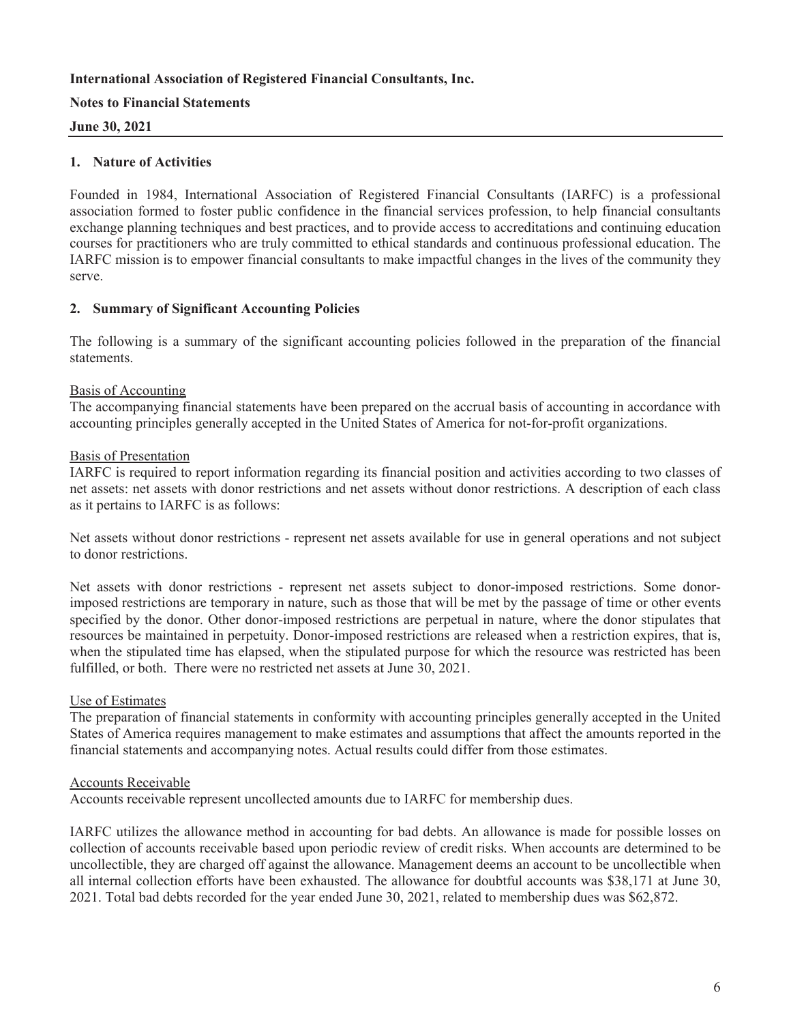#### **Notes to Financial Statements**

#### **June 30, 2021**

#### **1. Nature of Activities**

Founded in 1984, International Association of Registered Financial Consultants (IARFC) is a professional association formed to foster public confidence in the financial services profession, to help financial consultants exchange planning techniques and best practices, and to provide access to accreditations and continuing education courses for practitioners who are truly committed to ethical standards and continuous professional education. The IARFC mission is to empower financial consultants to make impactful changes in the lives of the community they serve.

# **2. Summary of Significant Accounting Policies**

The following is a summary of the significant accounting policies followed in the preparation of the financial statements.

#### Basis of Accounting

The accompanying financial statements have been prepared on the accrual basis of accounting in accordance with accounting principles generally accepted in the United States of America for not-for-profit organizations.

#### Basis of Presentation

IARFC is required to report information regarding its financial position and activities according to two classes of net assets: net assets with donor restrictions and net assets without donor restrictions. A description of each class as it pertains to IARFC is as follows:

Net assets without donor restrictions - represent net assets available for use in general operations and not subject to donor restrictions.

Net assets with donor restrictions - represent net assets subject to donor-imposed restrictions. Some donorimposed restrictions are temporary in nature, such as those that will be met by the passage of time or other events specified by the donor. Other donor-imposed restrictions are perpetual in nature, where the donor stipulates that resources be maintained in perpetuity. Donor-imposed restrictions are released when a restriction expires, that is, when the stipulated time has elapsed, when the stipulated purpose for which the resource was restricted has been fulfilled, or both. There were no restricted net assets at June 30, 2021.

#### Use of Estimates

The preparation of financial statements in conformity with accounting principles generally accepted in the United States of America requires management to make estimates and assumptions that affect the amounts reported in the financial statements and accompanying notes. Actual results could differ from those estimates.

#### Accounts Receivable

Accounts receivable represent uncollected amounts due to IARFC for membership dues.

IARFC utilizes the allowance method in accounting for bad debts. An allowance is made for possible losses on collection of accounts receivable based upon periodic review of credit risks. When accounts are determined to be uncollectible, they are charged off against the allowance. Management deems an account to be uncollectible when all internal collection efforts have been exhausted. The allowance for doubtful accounts was \$38,171 at June 30, 2021. Total bad debts recorded for the year ended June 30, 2021, related to membership dues was \$62,872.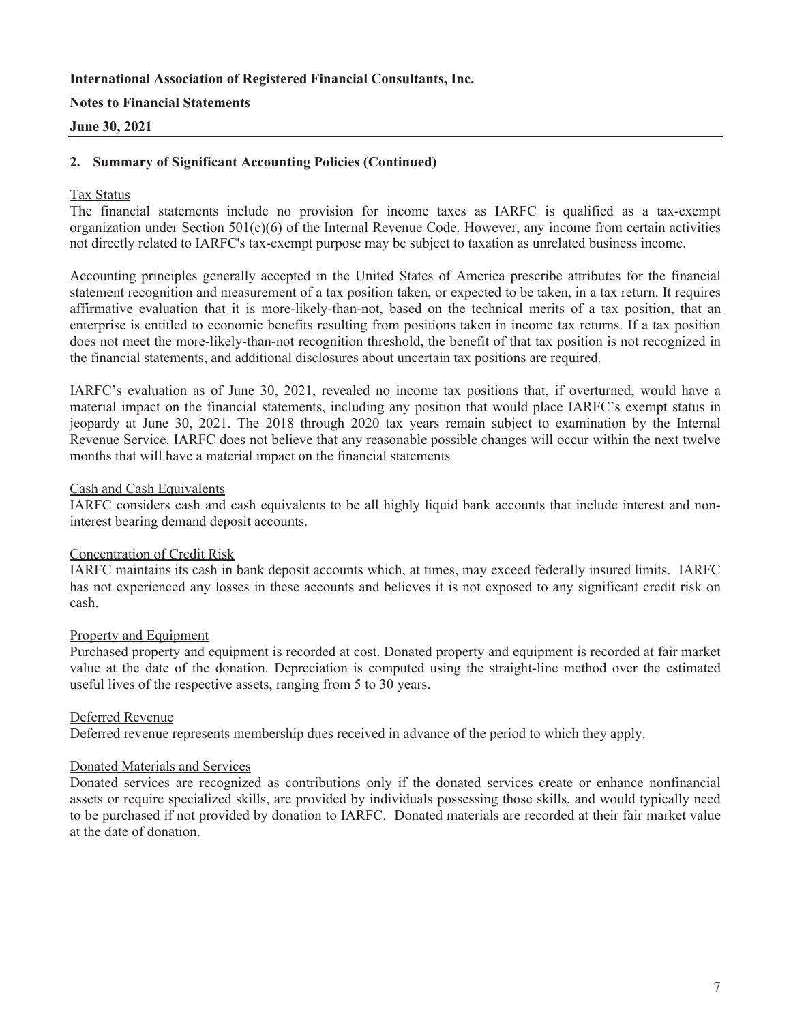#### **Notes to Financial Statements**

#### **June 30, 2021**

#### **2. Summary of Significant Accounting Policies (Continued)**

#### Tax Status

The financial statements include no provision for income taxes as IARFC is qualified as a tax-exempt organization under Section 501(c)(6) of the Internal Revenue Code. However, any income from certain activities not directly related to IARFC's tax-exempt purpose may be subject to taxation as unrelated business income.

Accounting principles generally accepted in the United States of America prescribe attributes for the financial statement recognition and measurement of a tax position taken, or expected to be taken, in a tax return. It requires affirmative evaluation that it is more-likely-than-not, based on the technical merits of a tax position, that an enterprise is entitled to economic benefits resulting from positions taken in income tax returns. If a tax position does not meet the more-likely-than-not recognition threshold, the benefit of that tax position is not recognized in the financial statements, and additional disclosures about uncertain tax positions are required.

IARFC's evaluation as of June 30, 2021, revealed no income tax positions that, if overturned, would have a material impact on the financial statements, including any position that would place IARFC's exempt status in jeopardy at June 30, 2021. The 2018 through 2020 tax years remain subject to examination by the Internal Revenue Service. IARFC does not believe that any reasonable possible changes will occur within the next twelve months that will have a material impact on the financial statements

#### Cash and Cash Equivalents

IARFC considers cash and cash equivalents to be all highly liquid bank accounts that include interest and noninterest bearing demand deposit accounts.

#### Concentration of Credit Risk

IARFC maintains its cash in bank deposit accounts which, at times, may exceed federally insured limits. IARFC has not experienced any losses in these accounts and believes it is not exposed to any significant credit risk on cash.

#### Property and Equipment

Purchased property and equipment is recorded at cost. Donated property and equipment is recorded at fair market value at the date of the donation. Depreciation is computed using the straight-line method over the estimated useful lives of the respective assets, ranging from 5 to 30 years.

#### Deferred Revenue

Deferred revenue represents membership dues received in advance of the period to which they apply.

#### Donated Materials and Services

Donated services are recognized as contributions only if the donated services create or enhance nonfinancial assets or require specialized skills, are provided by individuals possessing those skills, and would typically need to be purchased if not provided by donation to IARFC. Donated materials are recorded at their fair market value at the date of donation.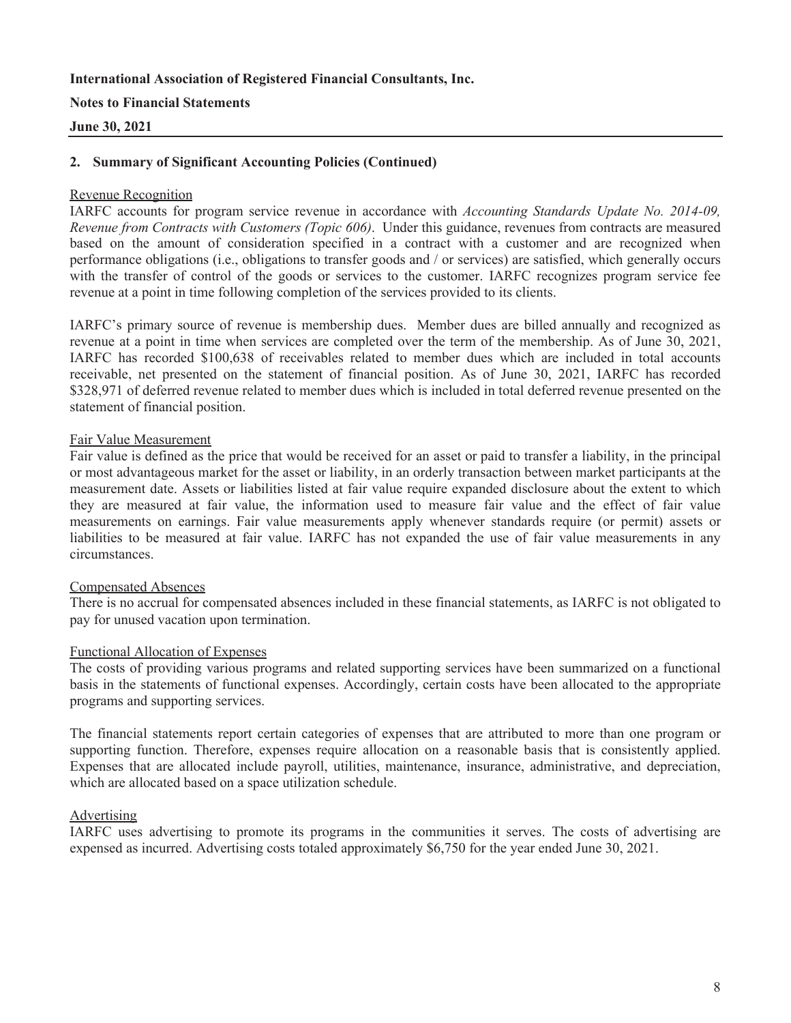#### **Notes to Financial Statements**

#### **June 30, 2021**

#### **2. Summary of Significant Accounting Policies (Continued)**

#### Revenue Recognition

IARFC accounts for program service revenue in accordance with *Accounting Standards Update No. 2014-09, Revenue from Contracts with Customers (Topic 606)*. Under this guidance, revenues from contracts are measured based on the amount of consideration specified in a contract with a customer and are recognized when performance obligations (i.e., obligations to transfer goods and / or services) are satisfied, which generally occurs with the transfer of control of the goods or services to the customer. IARFC recognizes program service fee revenue at a point in time following completion of the services provided to its clients.

IARFC's primary source of revenue is membership dues. Member dues are billed annually and recognized as revenue at a point in time when services are completed over the term of the membership. As of June 30, 2021, IARFC has recorded \$100,638 of receivables related to member dues which are included in total accounts receivable, net presented on the statement of financial position. As of June 30, 2021, IARFC has recorded \$328,971 of deferred revenue related to member dues which is included in total deferred revenue presented on the statement of financial position.

#### Fair Value Measurement

Fair value is defined as the price that would be received for an asset or paid to transfer a liability, in the principal or most advantageous market for the asset or liability, in an orderly transaction between market participants at the measurement date. Assets or liabilities listed at fair value require expanded disclosure about the extent to which they are measured at fair value, the information used to measure fair value and the effect of fair value measurements on earnings. Fair value measurements apply whenever standards require (or permit) assets or liabilities to be measured at fair value. IARFC has not expanded the use of fair value measurements in any circumstances.

#### Compensated Absences

There is no accrual for compensated absences included in these financial statements, as IARFC is not obligated to pay for unused vacation upon termination.

#### Functional Allocation of Expenses

The costs of providing various programs and related supporting services have been summarized on a functional basis in the statements of functional expenses. Accordingly, certain costs have been allocated to the appropriate programs and supporting services.

The financial statements report certain categories of expenses that are attributed to more than one program or supporting function. Therefore, expenses require allocation on a reasonable basis that is consistently applied. Expenses that are allocated include payroll, utilities, maintenance, insurance, administrative, and depreciation, which are allocated based on a space utilization schedule.

#### Advertising

IARFC uses advertising to promote its programs in the communities it serves. The costs of advertising are expensed as incurred. Advertising costs totaled approximately \$6,750 for the year ended June 30, 2021.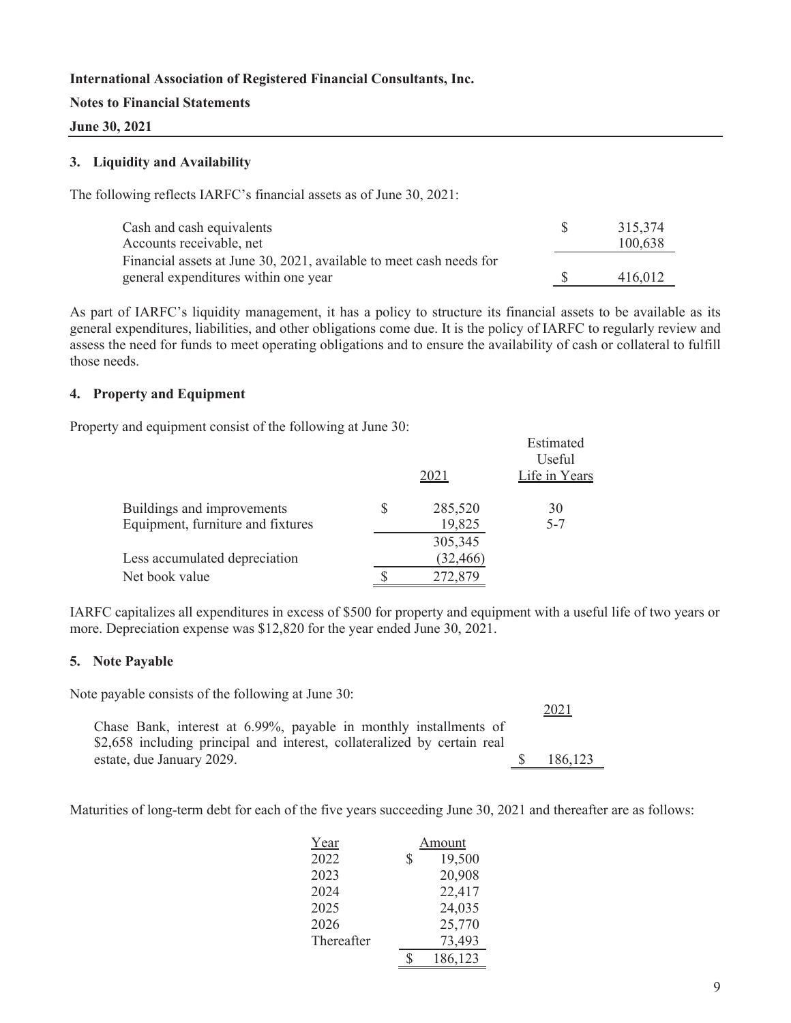# **Notes to Financial Statements**

# **June 30, 2021**

#### **3. Liquidity and Availability**

The following reflects IARFC's financial assets as of June 30, 2021:

| Cash and cash equivalents<br>Accounts receivable, net               | 315.374<br>100,638 |
|---------------------------------------------------------------------|--------------------|
| Financial assets at June 30, 2021, available to meet cash needs for |                    |
| general expenditures within one year                                | 416.012            |

As part of IARFC's liquidity management, it has a policy to structure its financial assets to be available as its general expenditures, liabilities, and other obligations come due. It is the policy of IARFC to regularly review and assess the need for funds to meet operating obligations and to ensure the availability of cash or collateral to fulfill those needs.

### **4. Property and Equipment**

Property and equipment consist of the following at June 30:

|                                   | 2021      | Estimated<br>Useful<br>Life in Years |
|-----------------------------------|-----------|--------------------------------------|
| Buildings and improvements        | 285,520   | 30                                   |
| Equipment, furniture and fixtures | 19,825    | $5 - 7$                              |
|                                   | 305,345   |                                      |
| Less accumulated depreciation     | (32, 466) |                                      |
| Net book value                    | 272,879   |                                      |

IARFC capitalizes all expenditures in excess of \$500 for property and equipment with a useful life of two years or more. Depreciation expense was \$12,820 for the year ended June 30, 2021.

2021

# **5. Note Payable**

Note payable consists of the following at June 30:

|                                                                          | 2041    |
|--------------------------------------------------------------------------|---------|
| Chase Bank, interest at 6.99%, payable in monthly installments of        |         |
| \$2,658 including principal and interest, collateralized by certain real |         |
| estate, due January 2029.                                                | 186,123 |

Maturities of long-term debt for each of the five years succeeding June 30, 2021 and thereafter are as follows:

| Year       |    | Amount  |
|------------|----|---------|
| 2022       | \$ | 19,500  |
| 2023       |    | 20,908  |
| 2024       |    | 22,417  |
| 2025       |    | 24,035  |
| 2026       |    | 25,770  |
| Thereafter |    | 73,493  |
|            | ፍ  | 186,123 |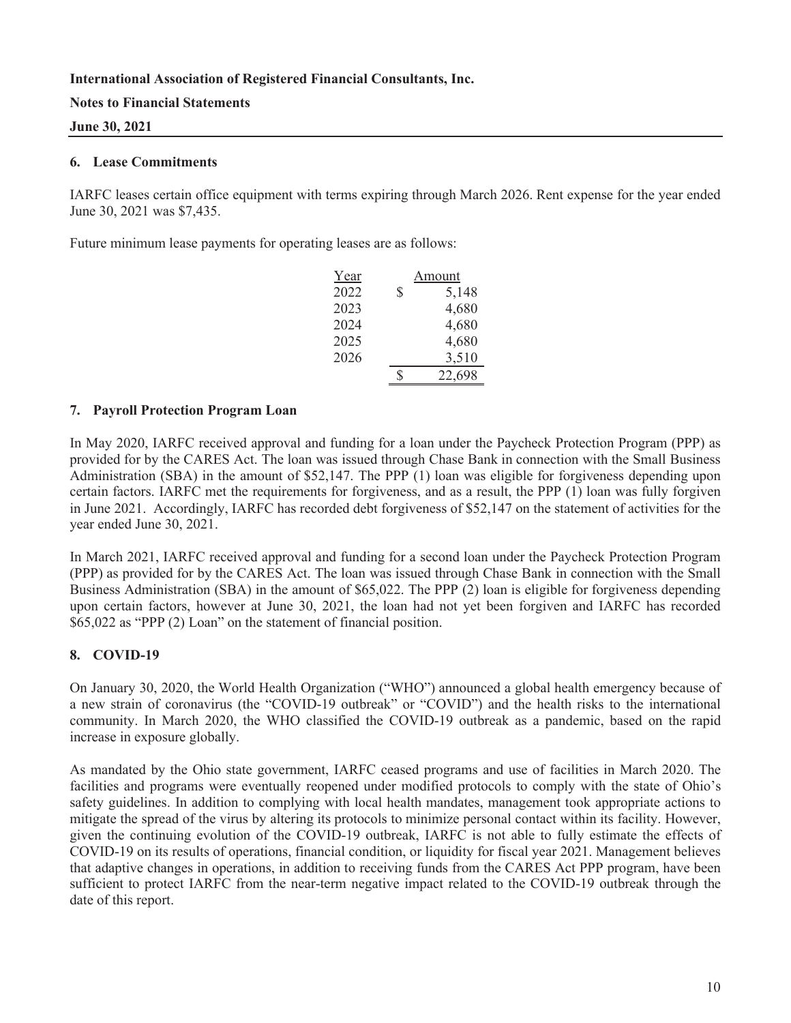#### **Notes to Financial Statements**

#### **June 30, 2021**

#### **6. Lease Commitments**

IARFC leases certain office equipment with terms expiring through March 2026. Rent expense for the year ended June 30, 2021 was \$7,435.

Future minimum lease payments for operating leases are as follows:

| Year | Amount      |
|------|-------------|
| 2022 | \$<br>5,148 |
| 2023 | 4,680       |
| 2024 | 4,680       |
| 2025 | 4,680       |
| 2026 | 3,510       |
|      | 22,698      |

#### **7. Payroll Protection Program Loan**

In May 2020, IARFC received approval and funding for a loan under the Paycheck Protection Program (PPP) as provided for by the CARES Act. The loan was issued through Chase Bank in connection with the Small Business Administration (SBA) in the amount of \$52,147. The PPP (1) loan was eligible for forgiveness depending upon certain factors. IARFC met the requirements for forgiveness, and as a result, the PPP (1) loan was fully forgiven in June 2021. Accordingly, IARFC has recorded debt forgiveness of \$52,147 on the statement of activities for the year ended June 30, 2021.

In March 2021, IARFC received approval and funding for a second loan under the Paycheck Protection Program (PPP) as provided for by the CARES Act. The loan was issued through Chase Bank in connection with the Small Business Administration (SBA) in the amount of \$65,022. The PPP (2) loan is eligible for forgiveness depending upon certain factors, however at June 30, 2021, the loan had not yet been forgiven and IARFC has recorded \$65,022 as "PPP (2) Loan" on the statement of financial position.

# **8. COVID-19**

On January 30, 2020, the World Health Organization ("WHO") announced a global health emergency because of a new strain of coronavirus (the "COVID-19 outbreak" or "COVID") and the health risks to the international community. In March 2020, the WHO classified the COVID-19 outbreak as a pandemic, based on the rapid increase in exposure globally.

As mandated by the Ohio state government, IARFC ceased programs and use of facilities in March 2020. The facilities and programs were eventually reopened under modified protocols to comply with the state of Ohio's safety guidelines. In addition to complying with local health mandates, management took appropriate actions to mitigate the spread of the virus by altering its protocols to minimize personal contact within its facility. However, given the continuing evolution of the COVID-19 outbreak, IARFC is not able to fully estimate the effects of COVID-19 on its results of operations, financial condition, or liquidity for fiscal year 2021. Management believes that adaptive changes in operations, in addition to receiving funds from the CARES Act PPP program, have been sufficient to protect IARFC from the near-term negative impact related to the COVID-19 outbreak through the date of this report.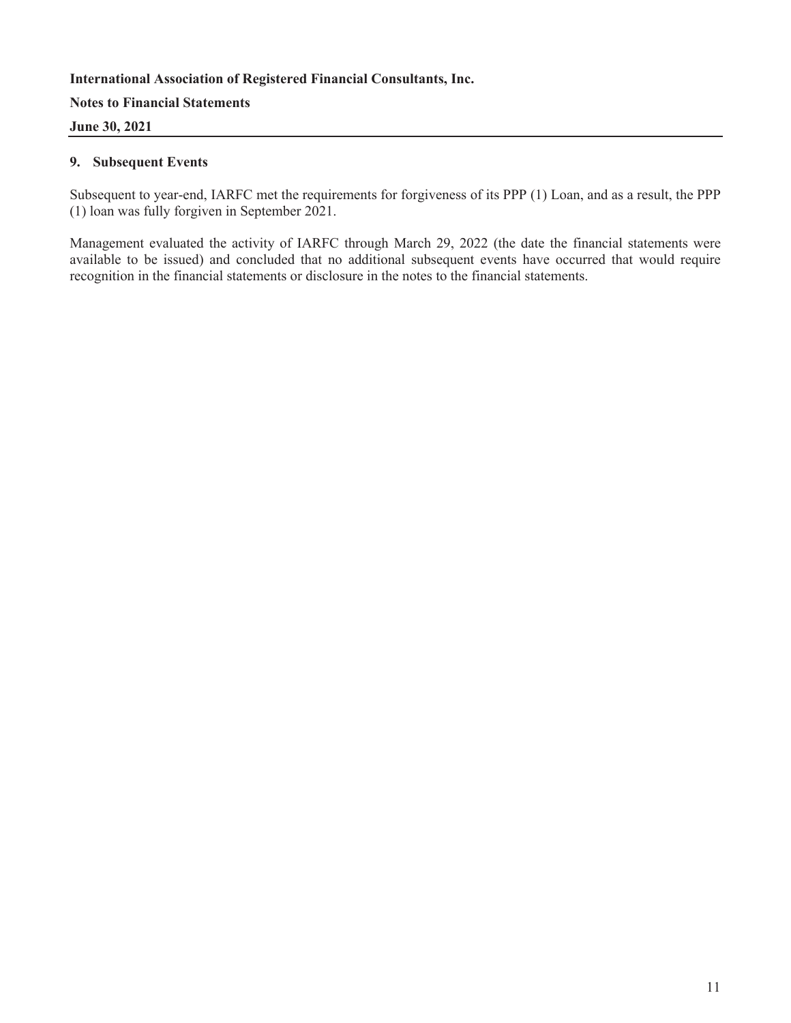#### **Notes to Financial Statements**

#### **June 30, 2021**

# **9. Subsequent Events**

Subsequent to year-end, IARFC met the requirements for forgiveness of its PPP (1) Loan, and as a result, the PPP (1) loan was fully forgiven in September 2021.

Management evaluated the activity of IARFC through March 29, 2022 (the date the financial statements were available to be issued) and concluded that no additional subsequent events have occurred that would require recognition in the financial statements or disclosure in the notes to the financial statements.